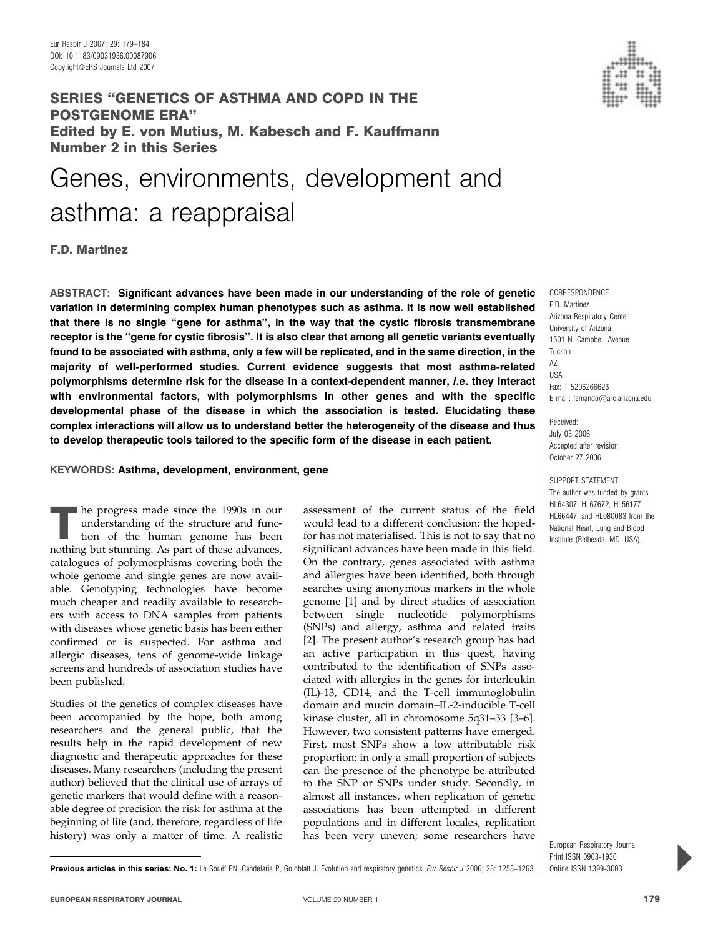

# Genes, environments, development and asthma: a reappraisal

## F.D. Martinez

ABSTRACT: Significant advances have been made in our understanding of the role of genetic variation in determining complex human phenotypes such as asthma. It is now well established that there is no single ''gene for asthma'', in the way that the cystic fibrosis transmembrane receptor is the ''gene for cystic fibrosis''. It is also clear that among all genetic variants eventually found to be associated with asthma, only a few will be replicated, and in the same direction, in the majority of well-performed studies. Current evidence suggests that most asthma-related polymorphisms determine risk for the disease in a context-dependent manner, i.e. they interact with environmental factors, with polymorphisms in other genes and with the specific developmental phase of the disease in which the association is tested. Elucidating these complex interactions will allow us to understand better the heterogeneity of the disease and thus to develop therapeutic tools tailored to the specific form of the disease in each patient.

#### KEYWORDS: Asthma, development, environment, gene

The progress made since the 1990s in our understanding of the structure and func-<br>tion of the human genome has been<br>nothing but stunning. As part of these advances understanding of the structure and function of the human genome has been nothing but stunning. As part of these advances, catalogues of polymorphisms covering both the whole genome and single genes are now available. Genotyping technologies have become much cheaper and readily available to researchers with access to DNA samples from patients with diseases whose genetic basis has been either confirmed or is suspected. For asthma and allergic diseases, tens of genome-wide linkage screens and hundreds of association studies have been published.

Studies of the genetics of complex diseases have been accompanied by the hope, both among researchers and the general public, that the results help in the rapid development of new diagnostic and therapeutic approaches for these diseases. Many researchers (including the present author) believed that the clinical use of arrays of genetic markers that would define with a reasonable degree of precision the risk for asthma at the beginning of life (and, therefore, regardless of life history) was only a matter of time. A realistic

assessment of the current status of the field would lead to a different conclusion: the hopedfor has not materialised. This is not to say that no significant advances have been made in this field. On the contrary, genes associated with asthma and allergies have been identified, both through searches using anonymous markers in the whole genome [1] and by direct studies of association between single nucleotide polymorphisms (SNPs) and allergy, asthma and related traits [2]. The present author's research group has had an active participation in this quest, having contributed to the identification of SNPs associated with allergies in the genes for interleukin (IL)-13, CD14, and the T-cell immunoglobulin domain and mucin domain–IL-2-inducible T-cell kinase cluster, all in chromosome 5q31–33 [3–6]. However, two consistent patterns have emerged. First, most SNPs show a low attributable risk proportion: in only a small proportion of subjects can the presence of the phenotype be attributed to the SNP or SNPs under study. Secondly, in almost all instances, when replication of genetic associations has been attempted in different populations and in different locales, replication has been very uneven; some researchers have

CORRESPONDENCE F.D. Martinez Arizona Respiratory Center University of Arizona 1501 N. Campbell Avenue Tucson A<sub>7</sub> **IISA** Fax: 1 5206266623 E-mail: fernando@arc.arizona.edu

Received: July 03 2006 Accepted after revision: October 27 2006

SUPPORT STATEMENT The author was funded by grants HL64307, HL67672, HL56177, HL66447, and HL080083 from the National Heart, Lung and Blood Institute (Bethesda, MD, USA).

European Respiratory Journal Print ISSN 0903-1936

Previous articles in this series: No. 1: Le Souëf PN, Candelaria P, Goldblatt J. Evolution and respiratory genetics. Eur Respir J 2006; 28: 1258–1263. | Online ISSN 1399-3003

P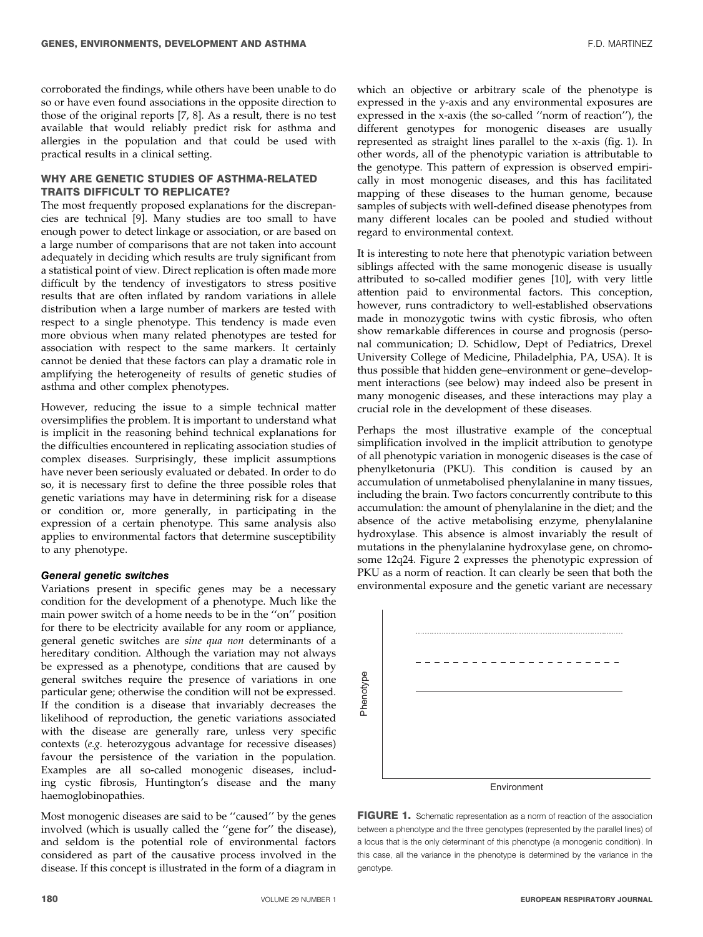corroborated the findings, while others have been unable to do so or have even found associations in the opposite direction to those of the original reports [7, 8]. As a result, there is no test available that would reliably predict risk for asthma and allergies in the population and that could be used with practical results in a clinical setting.

# WHY ARE GENETIC STUDIES OF ASTHMA-RELATED TRAITS DIFFICULT TO REPLICATE?

The most frequently proposed explanations for the discrepancies are technical [9]. Many studies are too small to have enough power to detect linkage or association, or are based on a large number of comparisons that are not taken into account adequately in deciding which results are truly significant from a statistical point of view. Direct replication is often made more difficult by the tendency of investigators to stress positive results that are often inflated by random variations in allele distribution when a large number of markers are tested with respect to a single phenotype. This tendency is made even more obvious when many related phenotypes are tested for association with respect to the same markers. It certainly cannot be denied that these factors can play a dramatic role in amplifying the heterogeneity of results of genetic studies of asthma and other complex phenotypes.

However, reducing the issue to a simple technical matter oversimplifies the problem. It is important to understand what is implicit in the reasoning behind technical explanations for the difficulties encountered in replicating association studies of complex diseases. Surprisingly, these implicit assumptions have never been seriously evaluated or debated. In order to do so, it is necessary first to define the three possible roles that genetic variations may have in determining risk for a disease or condition or, more generally, in participating in the expression of a certain phenotype. This same analysis also applies to environmental factors that determine susceptibility to any phenotype.

#### General genetic switches

Variations present in specific genes may be a necessary condition for the development of a phenotype. Much like the main power switch of a home needs to be in the ''on'' position for there to be electricity available for any room or appliance, general genetic switches are sine qua non determinants of a hereditary condition. Although the variation may not always be expressed as a phenotype, conditions that are caused by general switches require the presence of variations in one particular gene; otherwise the condition will not be expressed. If the condition is a disease that invariably decreases the likelihood of reproduction, the genetic variations associated with the disease are generally rare, unless very specific contexts (e.g. heterozygous advantage for recessive diseases) favour the persistence of the variation in the population. Examples are all so-called monogenic diseases, including cystic fibrosis, Huntington's disease and the many haemoglobinopathies.

Most monogenic diseases are said to be ''caused'' by the genes involved (which is usually called the ''gene for'' the disease), and seldom is the potential role of environmental factors considered as part of the causative process involved in the disease. If this concept is illustrated in the form of a diagram in

which an objective or arbitrary scale of the phenotype is expressed in the y-axis and any environmental exposures are expressed in the x-axis (the so-called ''norm of reaction''), the different genotypes for monogenic diseases are usually represented as straight lines parallel to the x-axis (fig. 1). In other words, all of the phenotypic variation is attributable to the genotype. This pattern of expression is observed empirically in most monogenic diseases, and this has facilitated mapping of these diseases to the human genome, because samples of subjects with well-defined disease phenotypes from many different locales can be pooled and studied without regard to environmental context.

It is interesting to note here that phenotypic variation between siblings affected with the same monogenic disease is usually attributed to so-called modifier genes [10], with very little attention paid to environmental factors. This conception, however, runs contradictory to well-established observations made in monozygotic twins with cystic fibrosis, who often show remarkable differences in course and prognosis (personal communication; D. Schidlow, Dept of Pediatrics, Drexel University College of Medicine, Philadelphia, PA, USA). It is thus possible that hidden gene–environment or gene–development interactions (see below) may indeed also be present in many monogenic diseases, and these interactions may play a crucial role in the development of these diseases.

Perhaps the most illustrative example of the conceptual simplification involved in the implicit attribution to genotype of all phenotypic variation in monogenic diseases is the case of phenylketonuria (PKU). This condition is caused by an accumulation of unmetabolised phenylalanine in many tissues, including the brain. Two factors concurrently contribute to this accumulation: the amount of phenylalanine in the diet; and the absence of the active metabolising enzyme, phenylalanine hydroxylase. This absence is almost invariably the result of mutations in the phenylalanine hydroxylase gene, on chromosome 12q24. Figure 2 expresses the phenotypic expression of PKU as a norm of reaction. It can clearly be seen that both the environmental exposure and the genetic variant are necessary



FIGURE 1. Schematic representation as a norm of reaction of the association between a phenotype and the three genotypes (represented by the parallel lines) of a locus that is the only determinant of this phenotype (a monogenic condition). In this case, all the variance in the phenotype is determined by the variance in the genotype.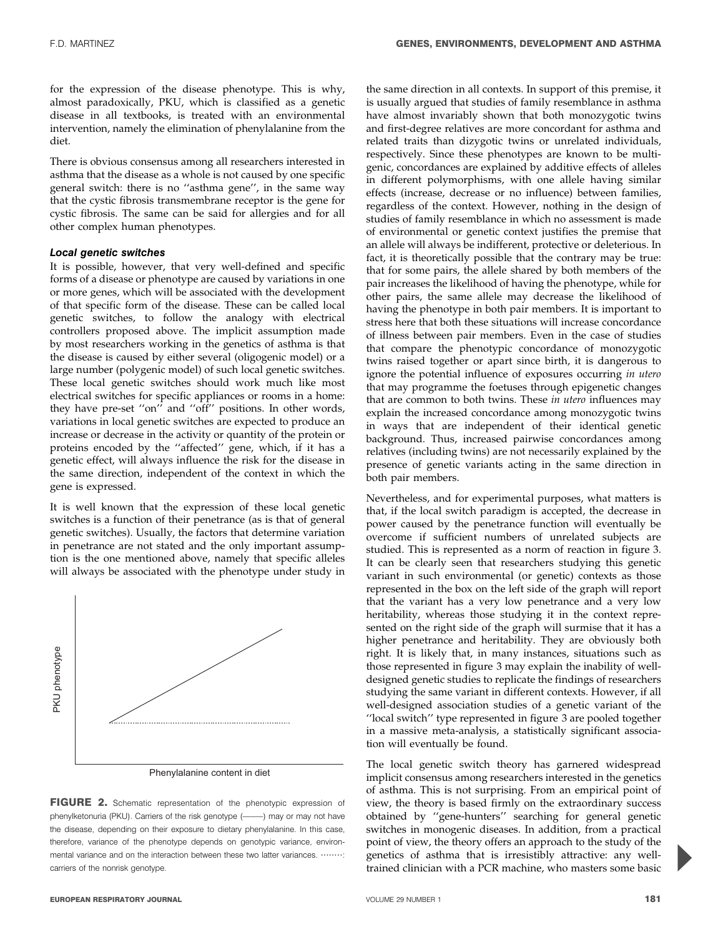for the expression of the disease phenotype. This is why, almost paradoxically, PKU, which is classified as a genetic disease in all textbooks, is treated with an environmental intervention, namely the elimination of phenylalanine from the diet.

There is obvious consensus among all researchers interested in asthma that the disease as a whole is not caused by one specific general switch: there is no ''asthma gene'', in the same way that the cystic fibrosis transmembrane receptor is the gene for cystic fibrosis. The same can be said for allergies and for all other complex human phenotypes.

#### Local genetic switches

It is possible, however, that very well-defined and specific forms of a disease or phenotype are caused by variations in one or more genes, which will be associated with the development of that specific form of the disease. These can be called local genetic switches, to follow the analogy with electrical controllers proposed above. The implicit assumption made by most researchers working in the genetics of asthma is that the disease is caused by either several (oligogenic model) or a large number (polygenic model) of such local genetic switches. These local genetic switches should work much like most electrical switches for specific appliances or rooms in a home: they have pre-set ''on'' and ''off'' positions. In other words, variations in local genetic switches are expected to produce an increase or decrease in the activity or quantity of the protein or proteins encoded by the ''affected'' gene, which, if it has a genetic effect, will always influence the risk for the disease in the same direction, independent of the context in which the gene is expressed.

It is well known that the expression of these local genetic switches is a function of their penetrance (as is that of general genetic switches). Usually, the factors that determine variation in penetrance are not stated and the only important assumption is the one mentioned above, namely that specific alleles will always be associated with the phenotype under study in



FIGURE 2. Schematic representation of the phenotypic expression of phenylketonuria (PKU). Carriers of the risk genotype (------) may or may not have the disease, depending on their exposure to dietary phenylalanine. In this case, therefore, variance of the phenotype depends on genotypic variance, environmental variance and on the interaction between these two latter variances.  $\cdots$ ... carriers of the nonrisk genotype.

the same direction in all contexts. In support of this premise, it is usually argued that studies of family resemblance in asthma have almost invariably shown that both monozygotic twins and first-degree relatives are more concordant for asthma and related traits than dizygotic twins or unrelated individuals, respectively. Since these phenotypes are known to be multigenic, concordances are explained by additive effects of alleles in different polymorphisms, with one allele having similar effects (increase, decrease or no influence) between families, regardless of the context. However, nothing in the design of studies of family resemblance in which no assessment is made of environmental or genetic context justifies the premise that an allele will always be indifferent, protective or deleterious. In fact, it is theoretically possible that the contrary may be true: that for some pairs, the allele shared by both members of the pair increases the likelihood of having the phenotype, while for other pairs, the same allele may decrease the likelihood of having the phenotype in both pair members. It is important to stress here that both these situations will increase concordance of illness between pair members. Even in the case of studies that compare the phenotypic concordance of monozygotic twins raised together or apart since birth, it is dangerous to ignore the potential influence of exposures occurring in utero that may programme the foetuses through epigenetic changes that are common to both twins. These in utero influences may explain the increased concordance among monozygotic twins in ways that are independent of their identical genetic background. Thus, increased pairwise concordances among relatives (including twins) are not necessarily explained by the presence of genetic variants acting in the same direction in both pair members.

Nevertheless, and for experimental purposes, what matters is that, if the local switch paradigm is accepted, the decrease in power caused by the penetrance function will eventually be overcome if sufficient numbers of unrelated subjects are studied. This is represented as a norm of reaction in figure 3. It can be clearly seen that researchers studying this genetic variant in such environmental (or genetic) contexts as those represented in the box on the left side of the graph will report that the variant has a very low penetrance and a very low heritability, whereas those studying it in the context represented on the right side of the graph will surmise that it has a higher penetrance and heritability. They are obviously both right. It is likely that, in many instances, situations such as those represented in figure 3 may explain the inability of welldesigned genetic studies to replicate the findings of researchers studying the same variant in different contexts. However, if all well-designed association studies of a genetic variant of the ''local switch'' type represented in figure 3 are pooled together in a massive meta-analysis, a statistically significant association will eventually be found.

The local genetic switch theory has garnered widespread implicit consensus among researchers interested in the genetics of asthma. This is not surprising. From an empirical point of view, the theory is based firmly on the extraordinary success obtained by ''gene-hunters'' searching for general genetic switches in monogenic diseases. In addition, from a practical point of view, the theory offers an approach to the study of the genetics of asthma that is irresistibly attractive: any welltrained clinician with a PCR machine, who masters some basic

P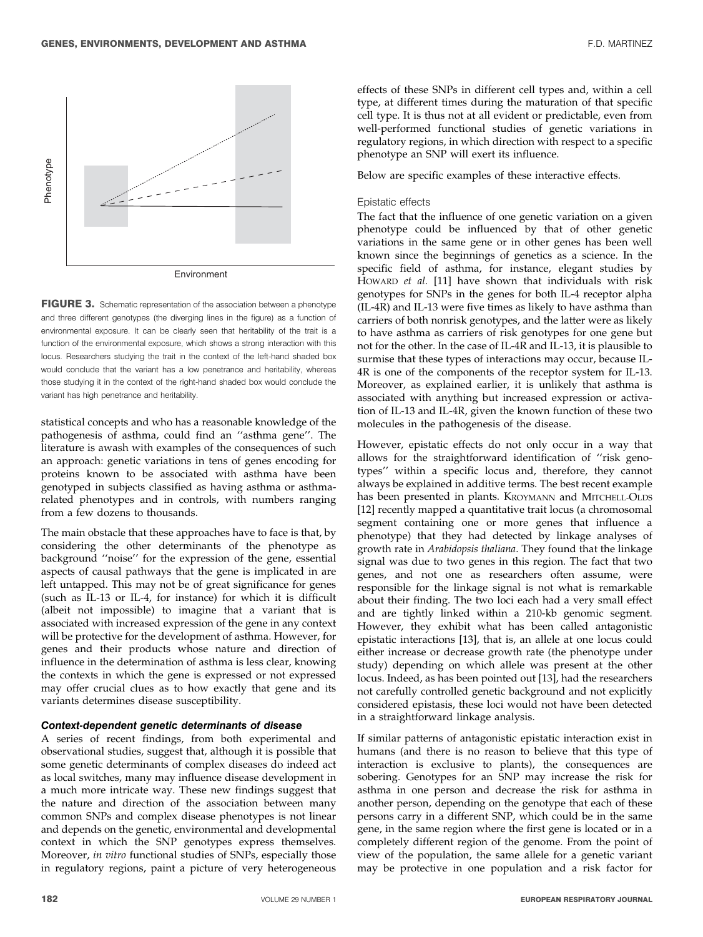

FIGURE 3. Schematic representation of the association between a phenotype and three different genotypes (the diverging lines in the figure) as a function of environmental exposure. It can be clearly seen that heritability of the trait is a function of the environmental exposure, which shows a strong interaction with this locus. Researchers studying the trait in the context of the left-hand shaded box would conclude that the variant has a low penetrance and heritability, whereas those studying it in the context of the right-hand shaded box would conclude the variant has high penetrance and heritability.

statistical concepts and who has a reasonable knowledge of the pathogenesis of asthma, could find an ''asthma gene''. The literature is awash with examples of the consequences of such an approach: genetic variations in tens of genes encoding for proteins known to be associated with asthma have been genotyped in subjects classified as having asthma or asthmarelated phenotypes and in controls, with numbers ranging from a few dozens to thousands.

The main obstacle that these approaches have to face is that, by considering the other determinants of the phenotype as background ''noise'' for the expression of the gene, essential aspects of causal pathways that the gene is implicated in are left untapped. This may not be of great significance for genes (such as IL-13 or IL-4, for instance) for which it is difficult (albeit not impossible) to imagine that a variant that is associated with increased expression of the gene in any context will be protective for the development of asthma. However, for genes and their products whose nature and direction of influence in the determination of asthma is less clear, knowing the contexts in which the gene is expressed or not expressed may offer crucial clues as to how exactly that gene and its variants determines disease susceptibility.

## Context-dependent genetic determinants of disease

A series of recent findings, from both experimental and observational studies, suggest that, although it is possible that some genetic determinants of complex diseases do indeed act as local switches, many may influence disease development in a much more intricate way. These new findings suggest that the nature and direction of the association between many common SNPs and complex disease phenotypes is not linear and depends on the genetic, environmental and developmental context in which the SNP genotypes express themselves. Moreover, in vitro functional studies of SNPs, especially those in regulatory regions, paint a picture of very heterogeneous

effects of these SNPs in different cell types and, within a cell type, at different times during the maturation of that specific cell type. It is thus not at all evident or predictable, even from well-performed functional studies of genetic variations in regulatory regions, in which direction with respect to a specific phenotype an SNP will exert its influence.

Below are specific examples of these interactive effects.

#### Epistatic effects

The fact that the influence of one genetic variation on a given phenotype could be influenced by that of other genetic variations in the same gene or in other genes has been well known since the beginnings of genetics as a science. In the specific field of asthma, for instance, elegant studies by HOWARD et al. [11] have shown that individuals with risk genotypes for SNPs in the genes for both IL-4 receptor alpha (IL-4R) and IL-13 were five times as likely to have asthma than carriers of both nonrisk genotypes, and the latter were as likely to have asthma as carriers of risk genotypes for one gene but not for the other. In the case of IL-4R and IL-13, it is plausible to surmise that these types of interactions may occur, because IL-4R is one of the components of the receptor system for IL-13. Moreover, as explained earlier, it is unlikely that asthma is associated with anything but increased expression or activation of IL-13 and IL-4R, given the known function of these two molecules in the pathogenesis of the disease.

However, epistatic effects do not only occur in a way that allows for the straightforward identification of ''risk genotypes'' within a specific locus and, therefore, they cannot always be explained in additive terms. The best recent example has been presented in plants. KROYMANN and MITCHELL-OLDS [12] recently mapped a quantitative trait locus (a chromosomal segment containing one or more genes that influence a phenotype) that they had detected by linkage analyses of growth rate in Arabidopsis thaliana. They found that the linkage signal was due to two genes in this region. The fact that two genes, and not one as researchers often assume, were responsible for the linkage signal is not what is remarkable about their finding. The two loci each had a very small effect and are tightly linked within a 210-kb genomic segment. However, they exhibit what has been called antagonistic epistatic interactions [13], that is, an allele at one locus could either increase or decrease growth rate (the phenotype under study) depending on which allele was present at the other locus. Indeed, as has been pointed out [13], had the researchers not carefully controlled genetic background and not explicitly considered epistasis, these loci would not have been detected in a straightforward linkage analysis.

If similar patterns of antagonistic epistatic interaction exist in humans (and there is no reason to believe that this type of interaction is exclusive to plants), the consequences are sobering. Genotypes for an SNP may increase the risk for asthma in one person and decrease the risk for asthma in another person, depending on the genotype that each of these persons carry in a different SNP, which could be in the same gene, in the same region where the first gene is located or in a completely different region of the genome. From the point of view of the population, the same allele for a genetic variant may be protective in one population and a risk factor for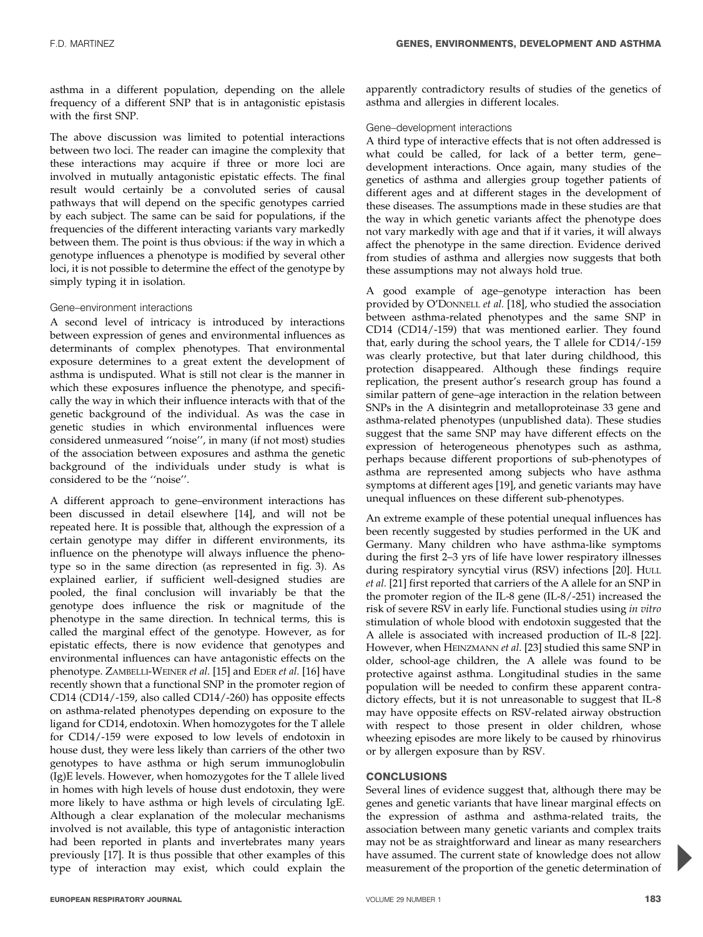asthma in a different population, depending on the allele frequency of a different SNP that is in antagonistic epistasis with the first SNP.

The above discussion was limited to potential interactions between two loci. The reader can imagine the complexity that these interactions may acquire if three or more loci are involved in mutually antagonistic epistatic effects. The final result would certainly be a convoluted series of causal pathways that will depend on the specific genotypes carried by each subject. The same can be said for populations, if the frequencies of the different interacting variants vary markedly between them. The point is thus obvious: if the way in which a genotype influences a phenotype is modified by several other loci, it is not possible to determine the effect of the genotype by simply typing it in isolation.

## Gene–environment interactions

A second level of intricacy is introduced by interactions between expression of genes and environmental influences as determinants of complex phenotypes. That environmental exposure determines to a great extent the development of asthma is undisputed. What is still not clear is the manner in which these exposures influence the phenotype, and specifically the way in which their influence interacts with that of the genetic background of the individual. As was the case in genetic studies in which environmental influences were considered unmeasured ''noise'', in many (if not most) studies of the association between exposures and asthma the genetic background of the individuals under study is what is considered to be the ''noise''.

A different approach to gene–environment interactions has been discussed in detail elsewhere [14], and will not be repeated here. It is possible that, although the expression of a certain genotype may differ in different environments, its influence on the phenotype will always influence the phenotype so in the same direction (as represented in fig. 3). As explained earlier, if sufficient well-designed studies are pooled, the final conclusion will invariably be that the genotype does influence the risk or magnitude of the phenotype in the same direction. In technical terms, this is called the marginal effect of the genotype. However, as for epistatic effects, there is now evidence that genotypes and environmental influences can have antagonistic effects on the phenotype. ZAMBELLI-WEINER et al. [15] and EDER et al. [16] have recently shown that a functional SNP in the promoter region of CD14 (CD14/-159, also called CD14/-260) has opposite effects on asthma-related phenotypes depending on exposure to the ligand for CD14, endotoxin. When homozygotes for the T allele for CD14/-159 were exposed to low levels of endotoxin in house dust, they were less likely than carriers of the other two genotypes to have asthma or high serum immunoglobulin (Ig)E levels. However, when homozygotes for the T allele lived in homes with high levels of house dust endotoxin, they were more likely to have asthma or high levels of circulating IgE. Although a clear explanation of the molecular mechanisms involved is not available, this type of antagonistic interaction had been reported in plants and invertebrates many years previously [17]. It is thus possible that other examples of this type of interaction may exist, which could explain the apparently contradictory results of studies of the genetics of asthma and allergies in different locales.

#### Gene–development interactions

A third type of interactive effects that is not often addressed is what could be called, for lack of a better term, gene– development interactions. Once again, many studies of the genetics of asthma and allergies group together patients of different ages and at different stages in the development of these diseases. The assumptions made in these studies are that the way in which genetic variants affect the phenotype does not vary markedly with age and that if it varies, it will always affect the phenotype in the same direction. Evidence derived from studies of asthma and allergies now suggests that both these assumptions may not always hold true.

A good example of age–genotype interaction has been provided by O'DONNELL et al. [18], who studied the association between asthma-related phenotypes and the same SNP in CD14 (CD14/-159) that was mentioned earlier. They found that, early during the school years, the T allele for CD14/-159 was clearly protective, but that later during childhood, this protection disappeared. Although these findings require replication, the present author's research group has found a similar pattern of gene–age interaction in the relation between SNPs in the A disintegrin and metalloproteinase 33 gene and asthma-related phenotypes (unpublished data). These studies suggest that the same SNP may have different effects on the expression of heterogeneous phenotypes such as asthma, perhaps because different proportions of sub-phenotypes of asthma are represented among subjects who have asthma symptoms at different ages [19], and genetic variants may have unequal influences on these different sub-phenotypes.

An extreme example of these potential unequal influences has been recently suggested by studies performed in the UK and Germany. Many children who have asthma-like symptoms during the first 2–3 yrs of life have lower respiratory illnesses during respiratory syncytial virus (RSV) infections [20]. HULL et al. [21] first reported that carriers of the A allele for an SNP in the promoter region of the IL-8 gene (IL-8/-251) increased the risk of severe RSV in early life. Functional studies using in vitro stimulation of whole blood with endotoxin suggested that the A allele is associated with increased production of IL-8 [22]. However, when HEINZMANN et al. [23] studied this same SNP in older, school-age children, the A allele was found to be protective against asthma. Longitudinal studies in the same population will be needed to confirm these apparent contradictory effects, but it is not unreasonable to suggest that IL-8 may have opposite effects on RSV-related airway obstruction with respect to those present in older children, whose wheezing episodes are more likely to be caused by rhinovirus or by allergen exposure than by RSV.

# CONCLUSIONS

Several lines of evidence suggest that, although there may be genes and genetic variants that have linear marginal effects on the expression of asthma and asthma-related traits, the association between many genetic variants and complex traits may not be as straightforward and linear as many researchers have assumed. The current state of knowledge does not allow measurement of the proportion of the genetic determination of

P